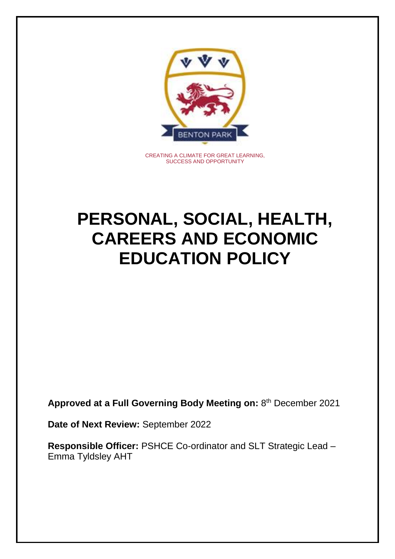

CREATING A CLIMATE FOR GREAT LEARNING, SUCCESS AND OPPORTUNITY

# **PERSONAL, SOCIAL, HEALTH, CAREERS AND ECONOMIC EDUCATION POLICY**

**Approved at a Full Governing Body Meeting on:** 8 th December 2021

**Date of Next Review:** September 2022

**Responsible Officer:** PSHCE Co-ordinator and SLT Strategic Lead – Emma Tyldsley AHT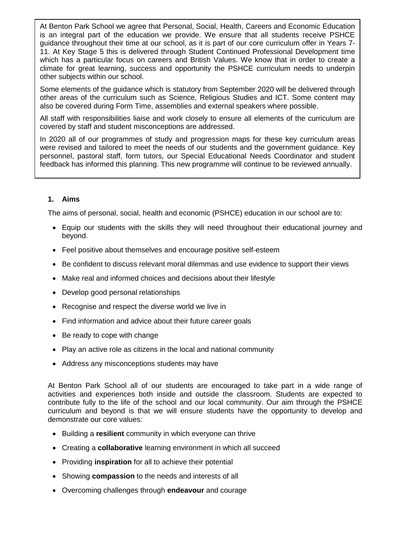At Benton Park School we agree that Personal, Social, Health, Careers and Economic Education is an integral part of the education we provide. We ensure that all students receive PSHCE guidance throughout their time at our school, as it is part of our core curriculum offer in Years 7- 11. At Key Stage 5 this is delivered through Student Continued Professional Development time which has a particular focus on careers and British Values. We know that in order to create a climate for great learning, success and opportunity the PSHCE curriculum needs to underpin other subjects within our school.

Some elements of the guidance which is statutory from September 2020 will be delivered through other areas of the curriculum such as Science, Religious Studies and ICT. Some content may also be covered during Form Time, assemblies and external speakers where possible.

All staff with responsibilities liaise and work closely to ensure all elements of the curriculum are covered by staff and student misconceptions are addressed.

In 2020 all of our programmes of study and progression maps for these key curriculum areas were revised and tailored to meet the needs of our students and the government guidance. Key personnel, pastoral staff, form tutors, our Special Educational Needs Coordinator and student feedback has informed this planning. This new programme will continue to be reviewed annually.

# **1. Aims**

The aims of personal, social, health and economic (PSHCE) education in our school are to:

- Equip our students with the skills they will need throughout their educational journey and beyond.
- Feel positive about themselves and encourage positive self-esteem
- Be confident to discuss relevant moral dilemmas and use evidence to support their views
- Make real and informed choices and decisions about their lifestyle
- Develop good personal relationships
- Recognise and respect the diverse world we live in
- Find information and advice about their future career goals
- Be ready to cope with change
- Play an active role as citizens in the local and national community
- Address any misconceptions students may have

At Benton Park School all of our students are encouraged to take part in a wide range of activities and experiences both inside and outside the classroom. Students are expected to contribute fully to the life of the school and our local community. Our aim through the PSHCE curriculum and beyond is that we will ensure students have the opportunity to develop and demonstrate our core values:

- Building a **resilient** community in which everyone can thrive
- Creating a **collaborative** learning environment in which all succeed
- Providing **inspiration** for all to achieve their potential
- Showing **compassion** to the needs and interests of all
- Overcoming challenges through **endeavour** and courage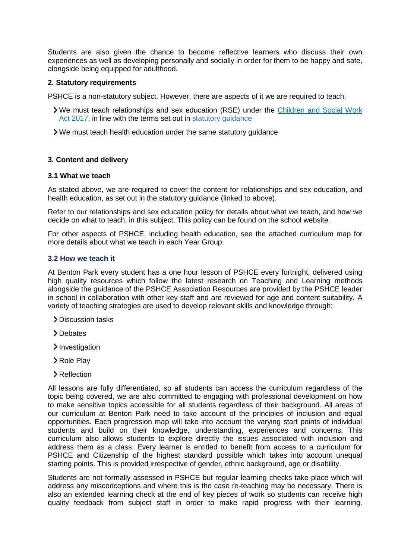Students are also given the chance to become reflective learners who discuss their own experiences as well as developing personally and socially in order for them to be happy and safe, alongside being equipped for adulthood.

## **2. Statutory requirements**

PSHCE is a non-statutory subject. However, there are aspects of it we are required to teach.

- We must teach relationships and sex education (RSE) under the [Children and Social Work](http://www.legislation.gov.uk/ukpga/2017/16/section/34/enacted)  [Act 2017,](http://www.legislation.gov.uk/ukpga/2017/16/section/34/enacted) in line with the terms set out in [statutory guidance](https://www.gov.uk/government/publications/relationships-education-relationships-and-sex-education-rse-and-health-education)
- We must teach health education under the same statutory guidance

## **3. Content and delivery**

#### **3.1 What we teach**

As stated above, we are required to cover the content for relationships and sex education, and health education, as set out in the statutory guidance (linked to above).

Refer to our relationships and sex education policy for details about what we teach, and how we decide on what to teach, in this subject. This policy can be found on the school website.

For other aspects of PSHCE, including health education, see the attached curriculum map for more details about what we teach in each Year Group.

#### **3.2 How we teach it**

At Benton Park every student has a one hour lesson of PSHCE every fortnight, delivered using high quality resources which follow the latest research on Teaching and Learning methods alongside the guidance of the PSHCE Association Resources are provided by the PSHCE leader in school in collaboration with other key staff and are reviewed for age and content suitability. A variety of teaching strategies are used to develop relevant skills and knowledge through:

- > Discussion tasks
- >Debates
- > Investigation
- > Role Play
- > Reflection

All lessons are fully differentiated, so all students can access the curriculum regardless of the topic being covered, we are also committed to engaging with professional development on how to make sensitive topics accessible for all students regardless of their background. All areas of our curriculum at Benton Park need to take account of the principles of inclusion and equal opportunities. Each progression map will take into account the varying start points of individual students and build on their knowledge, understanding, experiences and concerns. This curriculum also allows students to explore directly the issues associated with inclusion and address them as a class. Every learner is entitled to benefit from access to a curriculum for PSHCE and Citizenship of the highest standard possible which takes into account unequal starting points. This is provided irrespective of gender, ethnic background, age or disability.

Students are not formally assessed in PSHCE but regular learning checks take place which will address any misconceptions and where this is the case re-teaching may be necessary. There is also an extended learning check at the end of key pieces of work so students can receive high quality feedback from subject staff in order to make rapid progress with their learning.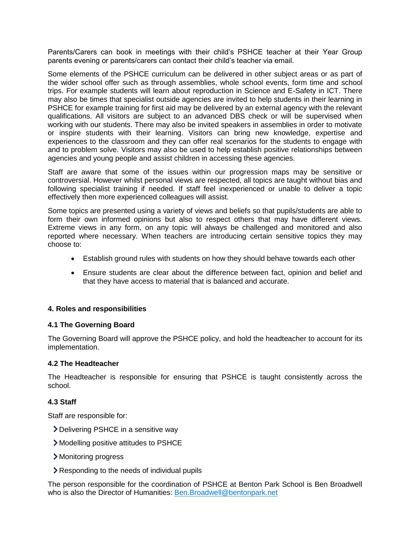Parents/Carers can book in meetings with their child's PSHCE teacher at their Year Group parents evening or parents/carers can contact their child's teacher via email.

Some elements of the PSHCE curriculum can be delivered in other subject areas or as part of the wider school offer such as through assemblies, whole school events, form time and school trips. For example students will learn about reproduction in Science and E-Safety in ICT. There may also be times that specialist outside agencies are invited to help students in their learning in PSHCE for example training for first aid may be delivered by an external agency with the relevant qualifications. All visitors are subject to an advanced DBS check or will be supervised when working with our students. There may also be invited speakers in assemblies in order to motivate or inspire students with their learning. Visitors can bring new knowledge, expertise and experiences to the classroom and they can offer real scenarios for the students to engage with and to problem solve. Visitors may also be used to help establish positive relationships between agencies and young people and assist children in accessing these agencies.

Staff are aware that some of the issues within our progression maps may be sensitive or controversial. However whilst personal views are respected, all topics are taught without bias and following specialist training if needed. If staff feel inexperienced or unable to deliver a topic effectively then more experienced colleagues will assist.

Some topics are presented using a variety of views and beliefs so that pupils/students are able to form their own informed opinions but also to respect others that may have different views. Extreme views in any form, on any topic will always be challenged and monitored and also reported where necessary. When teachers are introducing certain sensitive topics they may choose to:

- Establish ground rules with students on how they should behave towards each other
- Ensure students are clear about the difference between fact, opinion and belief and that they have access to material that is balanced and accurate.

## **4. Roles and responsibilities**

#### **4.1 The Governing Board**

The Governing Board will approve the PSHCE policy, and hold the headteacher to account for its implementation.

#### **4.2 The Headteacher**

The Headteacher is responsible for ensuring that PSHCE is taught consistently across the school.

#### **4.3 Staff**

Staff are responsible for:

- Delivering PSHCE in a sensitive way
- Modelling positive attitudes to PSHCE
- Monitoring progress
- Responding to the needs of individual pupils

The person responsible for the coordination of PSHCE at Benton Park School is Ben Broadwell who is also the Director of Humanities: [Ben.Broadwell@bentonpark.net](mailto:Ben.Broadwell@bentonpark.net)